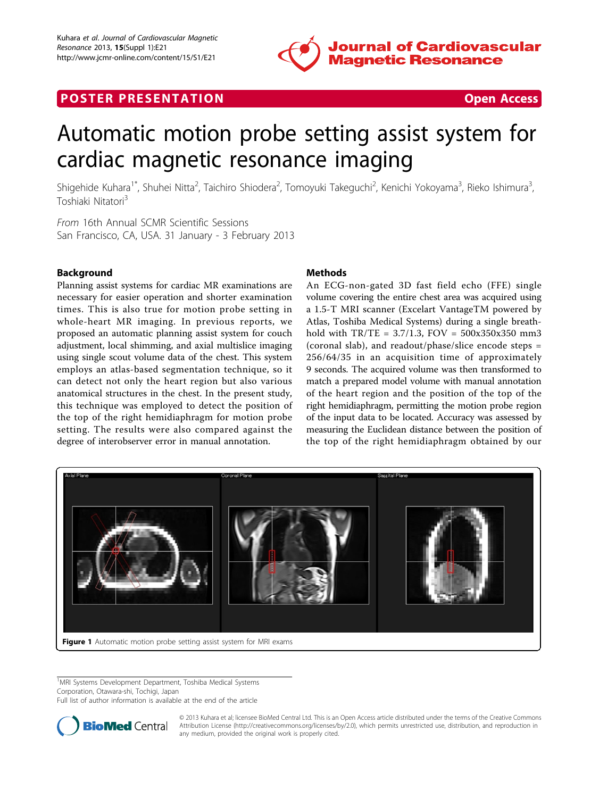

# **POSTER PRESENTATION CONSUMING ACCESS**



# Automatic motion probe setting assist system for cardiac magnetic resonance imaging

Shigehide Kuhara<sup>1\*</sup>, Shuhei Nitta<sup>2</sup>, Taichiro Shiodera<sup>2</sup>, Tomoyuki Takeguchi<sup>2</sup>, Kenichi Yokoyama<sup>3</sup>, Rieko Ishimura<sup>3</sup> , Toshiaki Nitatori3

From 16th Annual SCMR Scientific Sessions San Francisco, CA, USA. 31 January - 3 February 2013

## Background

Planning assist systems for cardiac MR examinations are necessary for easier operation and shorter examination times. This is also true for motion probe setting in whole-heart MR imaging. In previous reports, we proposed an automatic planning assist system for couch adjustment, local shimming, and axial multislice imaging using single scout volume data of the chest. This system employs an atlas-based segmentation technique, so it can detect not only the heart region but also various anatomical structures in the chest. In the present study, this technique was employed to detect the position of the top of the right hemidiaphragm for motion probe setting. The results were also compared against the degree of interobserver error in manual annotation.

#### Methods

An ECG-non-gated 3D fast field echo (FFE) single volume covering the entire chest area was acquired using a 1.5-T MRI scanner (Excelart VantageTM powered by Atlas, Toshiba Medical Systems) during a single breathhold with TR/TE = 3.7/1.3, FOV = 500x350x350 mm3 (coronal slab), and readout/phase/slice encode steps = 256/64/35 in an acquisition time of approximately 9 seconds. The acquired volume was then transformed to match a prepared model volume with manual annotation of the heart region and the position of the top of the right hemidiaphragm, permitting the motion probe region of the input data to be located. Accuracy was assessed by measuring the Euclidean distance between the position of the top of the right hemidiaphragm obtained by our



<sup>1</sup>MRI Systems Development Department, Toshiba Medical Systems Corporation, Otawara-shi, Tochigi, Japan

Full list of author information is available at the end of the article



© 2013 Kuhara et al; licensee BioMed Central Ltd. This is an Open Access article distributed under the terms of the Creative Commons Attribution License [\(http://creativecommons.org/licenses/by/2.0](http://creativecommons.org/licenses/by/2.0)), which permits unrestricted use, distribution, and reproduction in any medium, provided the original work is properly cited.